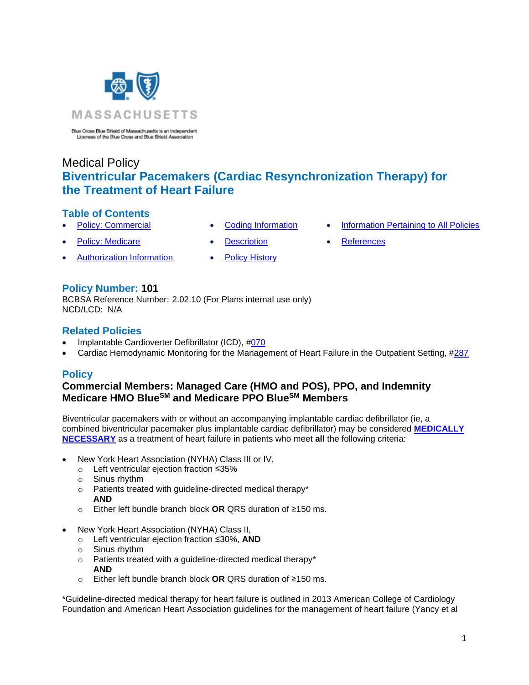

Blue Cross Blue Shield of Massachusetts is an Independent Licensee of the Blue Cross and Blue Shield Association

# Medical Policy **Biventricular Pacemakers (Cardiac Resynchronization Therapy) for the Treatment of Heart Failure**

# **Table of Contents**

- 
- **[Policy: Medicare](#page-0-0) [Description](#page-4-0) [References](#page-7-0)**
- [Authorization Information](#page-1-0) [Policy History](#page-6-1)
- **[Policy: Commercial](#page-0-0) [Coding Information](#page-2-0) [Information Pertaining to All Policies](#page-6-0)** 
	-

**Policy Number: 101**

BCBSA Reference Number: 2.02.10 (For Plans internal use only) NCD/LCD: N/A

## **Related Policies**

- Implantable Cardioverter Defibrillator (ICD), [#070](http://www.bluecrossma.org/medical-policies/sites/g/files/csphws2091/files/acquiadam-assets/070%20Implantable%20Cardioverter%20Defibrillator%20prn.pdf#page=1)
- <span id="page-0-0"></span>• Cardiac Hemodynamic Monitoring for the Management of Heart Failure in the Outpatient Setting, [#287](http://www.bluecrossma.org/medical-policies/sites/g/files/csphws2091/files/acquiadam-assets/287%20Cardiac%20Hemodynamic%20Monitoring%20for%20the%20Management%20of%20Heart%20Failure%20in%20the%20Outpatient%20Setting%20prn.pdf#page=1)

# **Policy**

## **Commercial Members: Managed Care (HMO and POS), PPO, and Indemnity Medicare HMO BlueSM and Medicare PPO BlueSM Members**

Biventricular pacemakers with or without an accompanying implantable cardiac defibrillator (ie, a combined biventricular pacemaker plus implantable cardiac defibrillator) may be considered **[MEDICALLY](https://www.bluecrossma.org/medical-policies/sites/g/files/csphws2091/files/acquiadam-assets/Definition%20of%20Med%20Nec%20Inv%20Not%20Med%20Nec%20prn.pdf#page=1)  [NECESSARY](https://www.bluecrossma.org/medical-policies/sites/g/files/csphws2091/files/acquiadam-assets/Definition%20of%20Med%20Nec%20Inv%20Not%20Med%20Nec%20prn.pdf#page=1)** as a treatment of heart failure in patients who meet **all** the following criteria:

- New York Heart Association (NYHA) Class III or IV,
	- o Left ventricular ejection fraction ≤35%
	- o Sinus rhythm
	- o Patients treated with guideline-directed medical therapy\* **AND**
	- o Either left bundle branch block **OR** QRS duration of ≥150 ms.
- New York Heart Association (NYHA) Class II,
	- o Left ventricular ejection fraction ≤30%, **AND**
	- o Sinus rhythm
	- o Patients treated with a guideline-directed medical therapy\* **AND**
	- o Either left bundle branch block **OR** QRS duration of ≥150 ms.

\*Guideline-directed medical therapy for heart failure is outlined in 2013 American College of Cardiology Foundation and American Heart Association guidelines for the management of heart failure (Yancy et al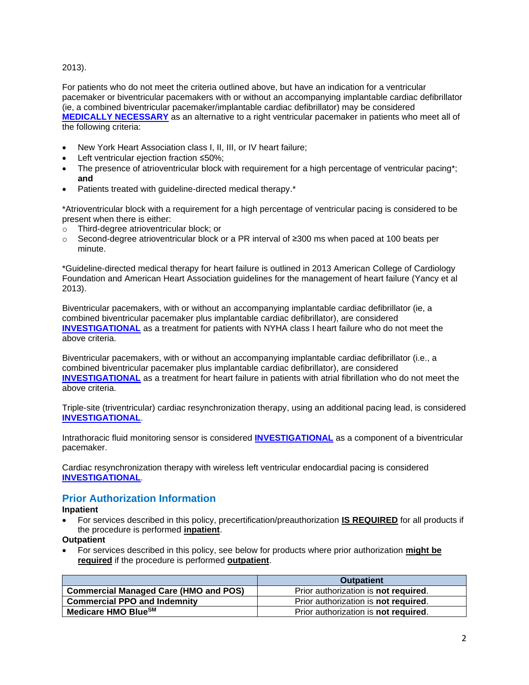<span id="page-1-0"></span>2013).

For patients who do not meet the criteria outlined above, but have an indication for a ventricular pacemaker or biventricular pacemakers with or without an accompanying implantable cardiac defibrillator (ie, a combined biventricular pacemaker/implantable cardiac defibrillator) may be considered **[MEDICALLY NECESSARY](https://www.bluecrossma.org/medical-policies/sites/g/files/csphws2091/files/acquiadam-assets/Definition%20of%20Med%20Nec%20Inv%20Not%20Med%20Nec%20prn.pdf#page=1)** as an alternative to a right ventricular pacemaker in patients who meet all of the following criteria:

- New York Heart Association class I, II, III, or IV heart failure;
- Left ventricular ejection fraction ≤50%;
- The presence of atrioventricular block with requirement for a high percentage of ventricular pacing\*; **and**
- Patients treated with guideline-directed medical therapy.<sup>\*</sup>

\*Atrioventricular block with a requirement for a high percentage of ventricular pacing is considered to be present when there is either:

- o Third-degree atrioventricular block; or
- o Second-degree atrioventricular block or a PR interval of ≥300 ms when paced at 100 beats per minute.

\*Guideline-directed medical therapy for heart failure is outlined in 2013 American College of Cardiology Foundation and American Heart Association guidelines for the management of heart failure (Yancy et al 2013).

Biventricular pacemakers, with or without an accompanying implantable cardiac defibrillator (ie, a combined biventricular pacemaker plus implantable cardiac defibrillator), are considered **[INVESTIGATIONAL](https://www.bluecrossma.org/medical-policies/sites/g/files/csphws2091/files/acquiadam-assets/Definition%20of%20Med%20Nec%20Inv%20Not%20Med%20Nec%20prn.pdf#page=1)** as a treatment for patients with NYHA class I heart failure who do not meet the above criteria.

Biventricular pacemakers, with or without an accompanying implantable cardiac defibrillator (i.e., a combined biventricular pacemaker plus implantable cardiac defibrillator), are considered **[INVESTIGATIONAL](https://www.bluecrossma.org/medical-policies/sites/g/files/csphws2091/files/acquiadam-assets/Definition%20of%20Med%20Nec%20Inv%20Not%20Med%20Nec%20prn.pdf#page=1)** as a treatment for heart failure in patients with atrial fibrillation who do not meet the above criteria.

Triple-site (triventricular) cardiac resynchronization therapy, using an additional pacing lead, is considered **[INVESTIGATIONAL](https://www.bluecrossma.org/medical-policies/sites/g/files/csphws2091/files/acquiadam-assets/Definition%20of%20Med%20Nec%20Inv%20Not%20Med%20Nec%20prn.pdf#page=1)**.

Intrathoracic fluid monitoring sensor is considered **[INVESTIGATIONAL](https://www.bluecrossma.org/medical-policies/sites/g/files/csphws2091/files/acquiadam-assets/Definition%20of%20Med%20Nec%20Inv%20Not%20Med%20Nec%20prn.pdf#page=1)** as a component of a biventricular pacemaker.

Cardiac resynchronization therapy with wireless left ventricular endocardial pacing is considered **[INVESTIGATIONAL](https://www.bluecrossma.org/medical-policies/sites/g/files/csphws2091/files/acquiadam-assets/Definition%20of%20Med%20Nec%20Inv%20Not%20Med%20Nec%20prn.pdf#page=1)**.

# **Prior Authorization Information**

**Inpatient**

• For services described in this policy, precertification/preauthorization **IS REQUIRED** for all products if the procedure is performed **inpatient**.

**Outpatient**

• For services described in this policy, see below for products where prior authorization **might be required** if the procedure is performed **outpatient**.

|                                              | <b>Outpatient</b>                           |
|----------------------------------------------|---------------------------------------------|
| <b>Commercial Managed Care (HMO and POS)</b> | Prior authorization is <b>not required.</b> |
| <b>Commercial PPO and Indemnity</b>          | Prior authorization is not required.        |
| Medicare HMO BlueSM                          | Prior authorization is not required.        |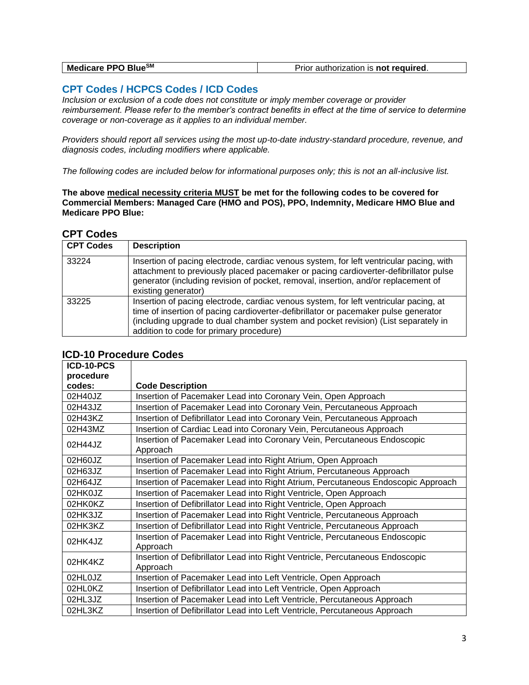| Medicare PPO BlueSM | Prior authorization is <b>not required.</b> |
|---------------------|---------------------------------------------|
|---------------------|---------------------------------------------|

## <span id="page-2-0"></span>**CPT Codes / HCPCS Codes / ICD Codes**

*Inclusion or exclusion of a code does not constitute or imply member coverage or provider reimbursement. Please refer to the member's contract benefits in effect at the time of service to determine coverage or non-coverage as it applies to an individual member.* 

*Providers should report all services using the most up-to-date industry-standard procedure, revenue, and diagnosis codes, including modifiers where applicable.*

*The following codes are included below for informational purposes only; this is not an all-inclusive list.*

**The above medical necessity criteria MUST be met for the following codes to be covered for Commercial Members: Managed Care (HMO and POS), PPO, Indemnity, Medicare HMO Blue and Medicare PPO Blue:**

#### **CPT Codes**

| <b>CPT Codes</b> | <b>Description</b>                                                                                                                                                                                                                                                                                            |
|------------------|---------------------------------------------------------------------------------------------------------------------------------------------------------------------------------------------------------------------------------------------------------------------------------------------------------------|
| 33224            | Insertion of pacing electrode, cardiac venous system, for left ventricular pacing, with<br>attachment to previously placed pacemaker or pacing cardioverter-defibrillator pulse<br>generator (including revision of pocket, removal, insertion, and/or replacement of<br>existing generator)                  |
| 33225            | Insertion of pacing electrode, cardiac venous system, for left ventricular pacing, at<br>time of insertion of pacing cardioverter-defibrillator or pacemaker pulse generator<br>(including upgrade to dual chamber system and pocket revision) (List separately in<br>addition to code for primary procedure) |

| ICD-10-PCS |                                                                                           |
|------------|-------------------------------------------------------------------------------------------|
| procedure  |                                                                                           |
| codes:     | <b>Code Description</b>                                                                   |
| 02H40JZ    | Insertion of Pacemaker Lead into Coronary Vein, Open Approach                             |
| 02H43JZ    | Insertion of Pacemaker Lead into Coronary Vein, Percutaneous Approach                     |
| 02H43KZ    | Insertion of Defibrillator Lead into Coronary Vein, Percutaneous Approach                 |
| 02H43MZ    | Insertion of Cardiac Lead into Coronary Vein, Percutaneous Approach                       |
| 02H44JZ    | Insertion of Pacemaker Lead into Coronary Vein, Percutaneous Endoscopic<br>Approach       |
| 02H60JZ    | Insertion of Pacemaker Lead into Right Atrium, Open Approach                              |
| 02H63JZ    | Insertion of Pacemaker Lead into Right Atrium, Percutaneous Approach                      |
| 02H64JZ    | Insertion of Pacemaker Lead into Right Atrium, Percutaneous Endoscopic Approach           |
| 02HK0JZ    | Insertion of Pacemaker Lead into Right Ventricle, Open Approach                           |
| 02HK0KZ    | Insertion of Defibrillator Lead into Right Ventricle, Open Approach                       |
| 02HK3JZ    | Insertion of Pacemaker Lead into Right Ventricle, Percutaneous Approach                   |
| 02HK3KZ    | Insertion of Defibrillator Lead into Right Ventricle, Percutaneous Approach               |
| 02HK4JZ    | Insertion of Pacemaker Lead into Right Ventricle, Percutaneous Endoscopic<br>Approach     |
| 02HK4KZ    | Insertion of Defibrillator Lead into Right Ventricle, Percutaneous Endoscopic<br>Approach |
| 02HL0JZ    | Insertion of Pacemaker Lead into Left Ventricle, Open Approach                            |
| 02HL0KZ    | Insertion of Defibrillator Lead into Left Ventricle, Open Approach                        |
| 02HL3JZ    | Insertion of Pacemaker Lead into Left Ventricle, Percutaneous Approach                    |
| 02HL3KZ    | Insertion of Defibrillator Lead into Left Ventricle, Percutaneous Approach                |

#### **ICD-10 Procedure Codes**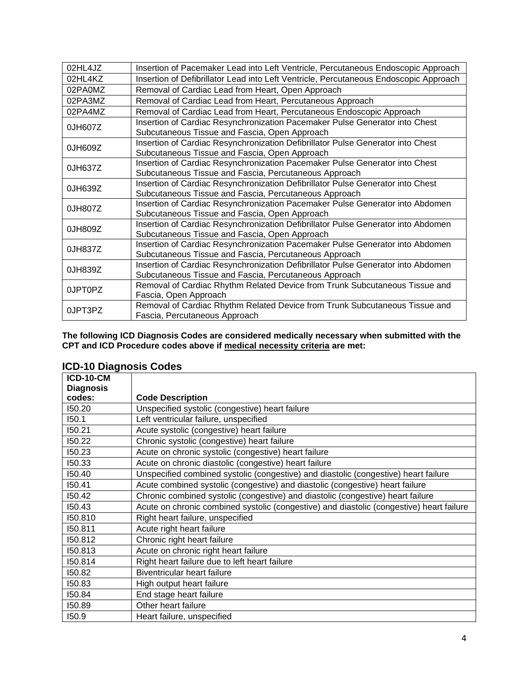| 02HL4JZ | Insertion of Pacemaker Lead into Left Ventricle, Percutaneous Endoscopic Approach     |
|---------|---------------------------------------------------------------------------------------|
| 02HL4KZ | Insertion of Defibrillator Lead into Left Ventricle, Percutaneous Endoscopic Approach |
| 02PA0MZ | Removal of Cardiac Lead from Heart, Open Approach                                     |
| 02PA3MZ | Removal of Cardiac Lead from Heart, Percutaneous Approach                             |
| 02PA4MZ | Removal of Cardiac Lead from Heart, Percutaneous Endoscopic Approach                  |
|         | Insertion of Cardiac Resynchronization Pacemaker Pulse Generator into Chest           |
| 0JH607Z | Subcutaneous Tissue and Fascia, Open Approach                                         |
| 0JH609Z | Insertion of Cardiac Resynchronization Defibrillator Pulse Generator into Chest       |
|         | Subcutaneous Tissue and Fascia, Open Approach                                         |
| 0JH637Z | Insertion of Cardiac Resynchronization Pacemaker Pulse Generator into Chest           |
|         | Subcutaneous Tissue and Fascia, Percutaneous Approach                                 |
| 0JH639Z | Insertion of Cardiac Resynchronization Defibrillator Pulse Generator into Chest       |
|         | Subcutaneous Tissue and Fascia, Percutaneous Approach                                 |
| 0JH807Z | Insertion of Cardiac Resynchronization Pacemaker Pulse Generator into Abdomen         |
|         | Subcutaneous Tissue and Fascia, Open Approach                                         |
| 0JH809Z | Insertion of Cardiac Resynchronization Defibrillator Pulse Generator into Abdomen     |
|         | Subcutaneous Tissue and Fascia, Open Approach                                         |
| 0JH837Z | Insertion of Cardiac Resynchronization Pacemaker Pulse Generator into Abdomen         |
|         | Subcutaneous Tissue and Fascia, Percutaneous Approach                                 |
| 0JH839Z | Insertion of Cardiac Resynchronization Defibrillator Pulse Generator into Abdomen     |
|         | Subcutaneous Tissue and Fascia, Percutaneous Approach                                 |
| 0JPT0PZ | Removal of Cardiac Rhythm Related Device from Trunk Subcutaneous Tissue and           |
|         | Fascia, Open Approach                                                                 |
| 0JPT3PZ | Removal of Cardiac Rhythm Related Device from Trunk Subcutaneous Tissue and           |
|         | Fascia, Percutaneous Approach                                                         |

**The following ICD Diagnosis Codes are considered medically necessary when submitted with the CPT and ICD Procedure codes above if medical necessity criteria are met:**

|  | <b>ICD-10 Diagnosis Codes</b> |  |
|--|-------------------------------|--|
|--|-------------------------------|--|

| <b>ICD-10-CM</b> |                                                                                          |
|------------------|------------------------------------------------------------------------------------------|
| <b>Diagnosis</b> |                                                                                          |
| codes:           | <b>Code Description</b>                                                                  |
| 150.20           | Unspecified systolic (congestive) heart failure                                          |
| 150.1            | Left ventricular failure, unspecified                                                    |
| 150.21           | Acute systolic (congestive) heart failure                                                |
| 150.22           | Chronic systolic (congestive) heart failure                                              |
| 150.23           | Acute on chronic systolic (congestive) heart failure                                     |
| 150.33           | Acute on chronic diastolic (congestive) heart failure                                    |
| 150.40           | Unspecified combined systolic (congestive) and diastolic (congestive) heart failure      |
| 150.41           | Acute combined systolic (congestive) and diastolic (congestive) heart failure            |
| 150.42           | Chronic combined systolic (congestive) and diastolic (congestive) heart failure          |
| 150.43           | Acute on chronic combined systolic (congestive) and diastolic (congestive) heart failure |
| 150.810          | Right heart failure, unspecified                                                         |
| 150.811          | Acute right heart failure                                                                |
| 150.812          | Chronic right heart failure                                                              |
| 150.813          | Acute on chronic right heart failure                                                     |
| 150.814          | Right heart failure due to left heart failure                                            |
| 150.82           | Biventricular heart failure                                                              |
| 150.83           | High output heart failure                                                                |
| 150.84           | End stage heart failure                                                                  |
| 150.89           | Other heart failure                                                                      |
| 150.9            | Heart failure, unspecified                                                               |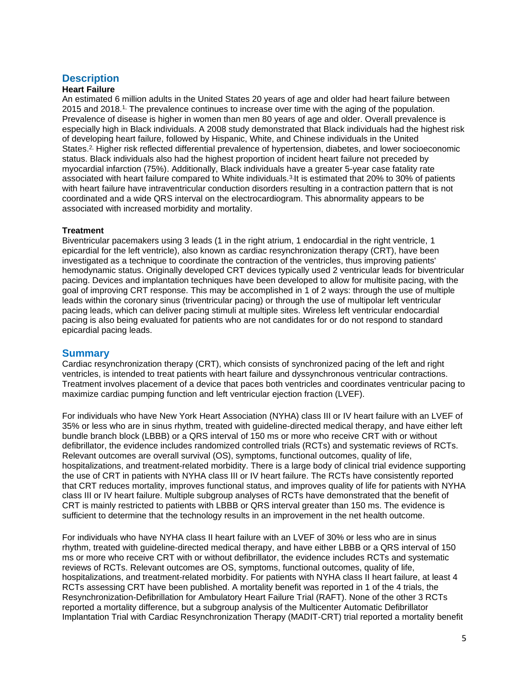## <span id="page-4-0"></span>**Description**

#### **Heart Failure**

An estimated 6 million adults in the United States 20 years of age and older had heart failure between 2015 and 2018.1, The prevalence continues to increase over time with the aging of the population. Prevalence of disease is higher in women than men 80 years of age and older. Overall prevalence is especially high in Black individuals. A 2008 study demonstrated that Black individuals had the highest risk of developing heart failure, followed by Hispanic, White, and Chinese individuals in the United States.<sup>2,</sup> Higher risk reflected differential prevalence of hypertension, diabetes, and lower socioeconomic status. Black individuals also had the highest proportion of incident heart failure not preceded by myocardial infarction (75%). Additionally, Black individuals have a greater 5-year case fatality rate associated with heart failure compared to White individuals.<sup>3,</sup>It is estimated that 20% to 30% of patients with heart failure have intraventricular conduction disorders resulting in a contraction pattern that is not coordinated and a wide QRS interval on the electrocardiogram. This abnormality appears to be associated with increased morbidity and mortality.

#### **Treatment**

Biventricular pacemakers using 3 leads (1 in the right atrium, 1 endocardial in the right ventricle, 1 epicardial for the left ventricle), also known as cardiac resynchronization therapy (CRT), have been investigated as a technique to coordinate the contraction of the ventricles, thus improving patients' hemodynamic status. Originally developed CRT devices typically used 2 ventricular leads for biventricular pacing. Devices and implantation techniques have been developed to allow for multisite pacing, with the goal of improving CRT response. This may be accomplished in 1 of 2 ways: through the use of multiple leads within the coronary sinus (triventricular pacing) or through the use of multipolar left ventricular pacing leads, which can deliver pacing stimuli at multiple sites. Wireless left ventricular endocardial pacing is also being evaluated for patients who are not candidates for or do not respond to standard epicardial pacing leads.

#### **Summary**

Cardiac resynchronization therapy (CRT), which consists of synchronized pacing of the left and right ventricles, is intended to treat patients with heart failure and dyssynchronous ventricular contractions. Treatment involves placement of a device that paces both ventricles and coordinates ventricular pacing to maximize cardiac pumping function and left ventricular ejection fraction (LVEF).

For individuals who have New York Heart Association (NYHA) class III or IV heart failure with an LVEF of 35% or less who are in sinus rhythm, treated with guideline-directed medical therapy, and have either left bundle branch block (LBBB) or a QRS interval of 150 ms or more who receive CRT with or without defibrillator, the evidence includes randomized controlled trials (RCTs) and systematic reviews of RCTs. Relevant outcomes are overall survival (OS), symptoms, functional outcomes, quality of life, hospitalizations, and treatment-related morbidity. There is a large body of clinical trial evidence supporting the use of CRT in patients with NYHA class III or IV heart failure. The RCTs have consistently reported that CRT reduces mortality, improves functional status, and improves quality of life for patients with NYHA class III or IV heart failure. Multiple subgroup analyses of RCTs have demonstrated that the benefit of CRT is mainly restricted to patients with LBBB or QRS interval greater than 150 ms. The evidence is sufficient to determine that the technology results in an improvement in the net health outcome.

For individuals who have NYHA class II heart failure with an LVEF of 30% or less who are in sinus rhythm, treated with guideline-directed medical therapy, and have either LBBB or a QRS interval of 150 ms or more who receive CRT with or without defibrillator, the evidence includes RCTs and systematic reviews of RCTs. Relevant outcomes are OS, symptoms, functional outcomes, quality of life, hospitalizations, and treatment-related morbidity. For patients with NYHA class II heart failure, at least 4 RCTs assessing CRT have been published. A mortality benefit was reported in 1 of the 4 trials, the Resynchronization-Defibrillation for Ambulatory Heart Failure Trial (RAFT). None of the other 3 RCTs reported a mortality difference, but a subgroup analysis of the Multicenter Automatic Defibrillator Implantation Trial with Cardiac Resynchronization Therapy (MADIT-CRT) trial reported a mortality benefit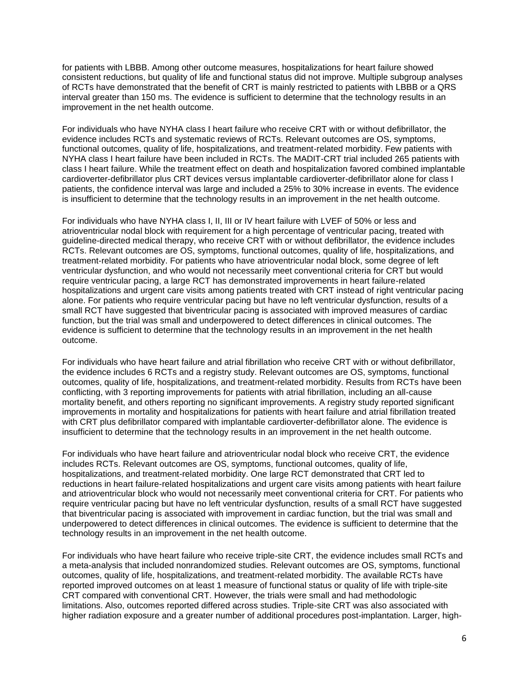for patients with LBBB. Among other outcome measures, hospitalizations for heart failure showed consistent reductions, but quality of life and functional status did not improve. Multiple subgroup analyses of RCTs have demonstrated that the benefit of CRT is mainly restricted to patients with LBBB or a QRS interval greater than 150 ms. The evidence is sufficient to determine that the technology results in an improvement in the net health outcome.

For individuals who have NYHA class I heart failure who receive CRT with or without defibrillator, the evidence includes RCTs and systematic reviews of RCTs. Relevant outcomes are OS, symptoms, functional outcomes, quality of life, hospitalizations, and treatment-related morbidity. Few patients with NYHA class I heart failure have been included in RCTs. The MADIT-CRT trial included 265 patients with class I heart failure. While the treatment effect on death and hospitalization favored combined implantable cardioverter-defibrillator plus CRT devices versus implantable cardioverter-defibrillator alone for class I patients, the confidence interval was large and included a 25% to 30% increase in events. The evidence is insufficient to determine that the technology results in an improvement in the net health outcome.

For individuals who have NYHA class I, II, III or IV heart failure with LVEF of 50% or less and atrioventricular nodal block with requirement for a high percentage of ventricular pacing, treated with guideline-directed medical therapy, who receive CRT with or without defibrillator, the evidence includes RCTs. Relevant outcomes are OS, symptoms, functional outcomes, quality of life, hospitalizations, and treatment-related morbidity. For patients who have atrioventricular nodal block, some degree of left ventricular dysfunction, and who would not necessarily meet conventional criteria for CRT but would require ventricular pacing, a large RCT has demonstrated improvements in heart failure-related hospitalizations and urgent care visits among patients treated with CRT instead of right ventricular pacing alone. For patients who require ventricular pacing but have no left ventricular dysfunction, results of a small RCT have suggested that biventricular pacing is associated with improved measures of cardiac function, but the trial was small and underpowered to detect differences in clinical outcomes. The evidence is sufficient to determine that the technology results in an improvement in the net health outcome.

For individuals who have heart failure and atrial fibrillation who receive CRT with or without defibrillator, the evidence includes 6 RCTs and a registry study. Relevant outcomes are OS, symptoms, functional outcomes, quality of life, hospitalizations, and treatment-related morbidity. Results from RCTs have been conflicting, with 3 reporting improvements for patients with atrial fibrillation, including an all-cause mortality benefit, and others reporting no significant improvements. A registry study reported significant improvements in mortality and hospitalizations for patients with heart failure and atrial fibrillation treated with CRT plus defibrillator compared with implantable cardioverter-defibrillator alone. The evidence is insufficient to determine that the technology results in an improvement in the net health outcome.

For individuals who have heart failure and atrioventricular nodal block who receive CRT, the evidence includes RCTs. Relevant outcomes are OS, symptoms, functional outcomes, quality of life, hospitalizations, and treatment-related morbidity. One large RCT demonstrated that CRT led to reductions in heart failure-related hospitalizations and urgent care visits among patients with heart failure and atrioventricular block who would not necessarily meet conventional criteria for CRT. For patients who require ventricular pacing but have no left ventricular dysfunction, results of a small RCT have suggested that biventricular pacing is associated with improvement in cardiac function, but the trial was small and underpowered to detect differences in clinical outcomes. The evidence is sufficient to determine that the technology results in an improvement in the net health outcome.

For individuals who have heart failure who receive triple-site CRT, the evidence includes small RCTs and a meta-analysis that included nonrandomized studies. Relevant outcomes are OS, symptoms, functional outcomes, quality of life, hospitalizations, and treatment-related morbidity. The available RCTs have reported improved outcomes on at least 1 measure of functional status or quality of life with triple-site CRT compared with conventional CRT. However, the trials were small and had methodologic limitations. Also, outcomes reported differed across studies. Triple-site CRT was also associated with higher radiation exposure and a greater number of additional procedures post-implantation. Larger, high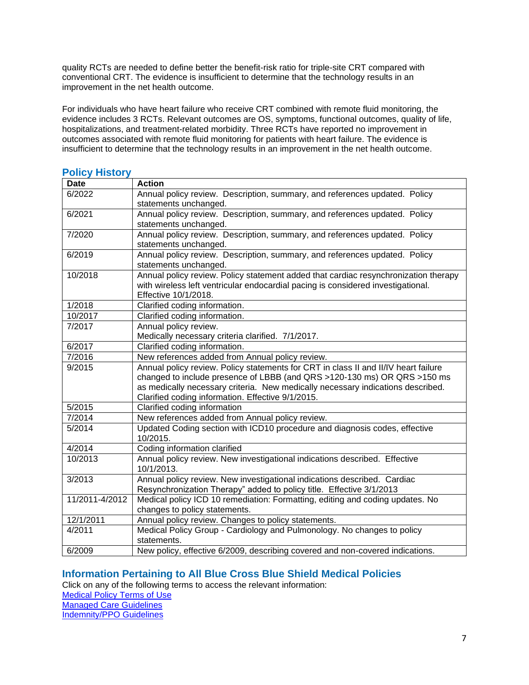quality RCTs are needed to define better the benefit-risk ratio for triple-site CRT compared with conventional CRT. The evidence is insufficient to determine that the technology results in an improvement in the net health outcome.

For individuals who have heart failure who receive CRT combined with remote fluid monitoring, the evidence includes 3 RCTs. Relevant outcomes are OS, symptoms, functional outcomes, quality of life, hospitalizations, and treatment-related morbidity. Three RCTs have reported no improvement in outcomes associated with remote fluid monitoring for patients with heart failure. The evidence is insufficient to determine that the technology results in an improvement in the net health outcome.

<span id="page-6-1"></span>

| <b>Policy History</b> |                                                                                     |
|-----------------------|-------------------------------------------------------------------------------------|
| <b>Date</b>           | <b>Action</b>                                                                       |
| 6/2022                | Annual policy review. Description, summary, and references updated. Policy          |
|                       | statements unchanged.                                                               |
| 6/2021                | Annual policy review. Description, summary, and references updated. Policy          |
|                       | statements unchanged.                                                               |
| 7/2020                | Annual policy review. Description, summary, and references updated. Policy          |
|                       | statements unchanged.                                                               |
| 6/2019                | Annual policy review. Description, summary, and references updated. Policy          |
|                       | statements unchanged.                                                               |
| 10/2018               | Annual policy review. Policy statement added that cardiac resynchronization therapy |
|                       | with wireless left ventricular endocardial pacing is considered investigational.    |
| 1/2018                | Effective 10/1/2018.<br>Clarified coding information.                               |
| 10/2017               | Clarified coding information.                                                       |
| 7/2017                | Annual policy review.                                                               |
|                       | Medically necessary criteria clarified. 7/1/2017.                                   |
| 6/2017                | Clarified coding information.                                                       |
| $\frac{1}{7}$ /2016   | New references added from Annual policy review.                                     |
| 9/2015                | Annual policy review. Policy statements for CRT in class II and II/IV heart failure |
|                       | changed to include presence of LBBB (and QRS >120-130 ms) OR QRS >150 ms            |
|                       | as medically necessary criteria. New medically necessary indications described.     |
|                       | Clarified coding information. Effective 9/1/2015.                                   |
| 5/2015                | Clarified coding information                                                        |
| 7/2014                | New references added from Annual policy review.                                     |
| 5/2014                | Updated Coding section with ICD10 procedure and diagnosis codes, effective          |
|                       | 10/2015.                                                                            |
| 4/2014                | Coding information clarified                                                        |
| 10/2013               | Annual policy review. New investigational indications described. Effective          |
|                       | 10/1/2013.                                                                          |
| 3/2013                | Annual policy review. New investigational indications described. Cardiac            |
|                       | Resynchronization Therapy" added to policy title. Effective 3/1/2013                |
| 11/2011-4/2012        | Medical policy ICD 10 remediation: Formatting, editing and coding updates. No       |
|                       | changes to policy statements.                                                       |
| 12/1/2011             | Annual policy review. Changes to policy statements.                                 |
| 4/2011                | Medical Policy Group - Cardiology and Pulmonology. No changes to policy             |
|                       | statements.                                                                         |
| 6/2009                | New policy, effective 6/2009, describing covered and non-covered indications.       |

# <span id="page-6-0"></span>**Information Pertaining to All Blue Cross Blue Shield Medical Policies**

Click on any of the following terms to access the relevant information:

[Medical Policy Terms of Use](http://www.bluecrossma.org/medical-policies/sites/g/files/csphws2091/files/acquiadam-assets/Medical_Policy_Terms_of_Use_prn.pdf) [Managed Care Guidelines](http://www.bluecrossma.org/medical-policies/sites/g/files/csphws2091/files/acquiadam-assets/Managed_Care_Guidelines_prn.pdf)

[Indemnity/PPO Guidelines](http://www.bluecrossma.org/medical-policies/sites/g/files/csphws2091/files/acquiadam-assets/Indemnity_and_PPO_Guidelines_prn.pdf)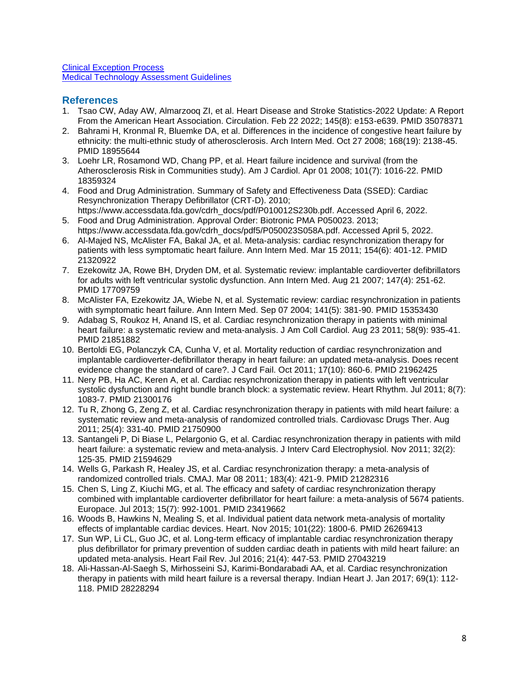[Clinical Exception Process](http://www.bluecrossma.org/medical-policies/sites/g/files/csphws2091/files/acquiadam-assets/Clinical_Exception_Process_prn.pdf) [Medical Technology Assessment Guidelines](http://www.bluecrossma.org/medical-policies/sites/g/files/csphws2091/files/acquiadam-assets/Medical_Technology_Assessment_Guidelines_prn.pdf)

#### <span id="page-7-0"></span>**References**

- 1. Tsao CW, Aday AW, Almarzooq ZI, et al. Heart Disease and Stroke Statistics-2022 Update: A Report From the American Heart Association. Circulation. Feb 22 2022; 145(8): e153-e639. PMID 35078371
- 2. Bahrami H, Kronmal R, Bluemke DA, et al. Differences in the incidence of congestive heart failure by ethnicity: the multi-ethnic study of atherosclerosis. Arch Intern Med. Oct 27 2008; 168(19): 2138-45. PMID 18955644
- 3. Loehr LR, Rosamond WD, Chang PP, et al. Heart failure incidence and survival (from the Atherosclerosis Risk in Communities study). Am J Cardiol. Apr 01 2008; 101(7): 1016-22. PMID 18359324
- 4. Food and Drug Administration. Summary of Safety and Effectiveness Data (SSED): Cardiac Resynchronization Therapy Defibrillator (CRT-D). 2010;
- https://www.accessdata.fda.gov/cdrh\_docs/pdf/P010012S230b.pdf. Accessed April 6, 2022. 5. Food and Drug Administration. Approval Order: Biotronic PMA P050023. 2013;
- https://www.accessdata.fda.gov/cdrh\_docs/pdf5/P050023S058A.pdf. Accessed April 5, 2022. 6. Al-Majed NS, McAlister FA, Bakal JA, et al. Meta-analysis: cardiac resynchronization therapy for patients with less symptomatic heart failure. Ann Intern Med. Mar 15 2011; 154(6): 401-12. PMID 21320922
- 7. Ezekowitz JA, Rowe BH, Dryden DM, et al. Systematic review: implantable cardioverter defibrillators for adults with left ventricular systolic dysfunction. Ann Intern Med. Aug 21 2007; 147(4): 251-62. PMID 17709759
- 8. McAlister FA, Ezekowitz JA, Wiebe N, et al. Systematic review: cardiac resynchronization in patients with symptomatic heart failure. Ann Intern Med. Sep 07 2004; 141(5): 381-90. PMID 15353430
- 9. Adabag S, Roukoz H, Anand IS, et al. Cardiac resynchronization therapy in patients with minimal heart failure: a systematic review and meta-analysis. J Am Coll Cardiol. Aug 23 2011; 58(9): 935-41. PMID 21851882
- 10. Bertoldi EG, Polanczyk CA, Cunha V, et al. Mortality reduction of cardiac resynchronization and implantable cardioverter-defibrillator therapy in heart failure: an updated meta-analysis. Does recent evidence change the standard of care?. J Card Fail. Oct 2011; 17(10): 860-6. PMID 21962425
- 11. Nery PB, Ha AC, Keren A, et al. Cardiac resynchronization therapy in patients with left ventricular systolic dysfunction and right bundle branch block: a systematic review. Heart Rhythm. Jul 2011; 8(7): 1083-7. PMID 21300176
- 12. Tu R, Zhong G, Zeng Z, et al. Cardiac resynchronization therapy in patients with mild heart failure: a systematic review and meta-analysis of randomized controlled trials. Cardiovasc Drugs Ther. Aug 2011; 25(4): 331-40. PMID 21750900
- 13. Santangeli P, Di Biase L, Pelargonio G, et al. Cardiac resynchronization therapy in patients with mild heart failure: a systematic review and meta-analysis. J Interv Card Electrophysiol. Nov 2011; 32(2): 125-35. PMID 21594629
- 14. Wells G, Parkash R, Healey JS, et al. Cardiac resynchronization therapy: a meta-analysis of randomized controlled trials. CMAJ. Mar 08 2011; 183(4): 421-9. PMID 21282316
- 15. Chen S, Ling Z, Kiuchi MG, et al. The efficacy and safety of cardiac resynchronization therapy combined with implantable cardioverter defibrillator for heart failure: a meta-analysis of 5674 patients. Europace. Jul 2013; 15(7): 992-1001. PMID 23419662
- 16. Woods B, Hawkins N, Mealing S, et al. Individual patient data network meta-analysis of mortality effects of implantable cardiac devices. Heart. Nov 2015; 101(22): 1800-6. PMID 26269413
- 17. Sun WP, Li CL, Guo JC, et al. Long-term efficacy of implantable cardiac resynchronization therapy plus defibrillator for primary prevention of sudden cardiac death in patients with mild heart failure: an updated meta-analysis. Heart Fail Rev. Jul 2016; 21(4): 447-53. PMID 27043219
- 18. Ali-Hassan-Al-Saegh S, Mirhosseini SJ, Karimi-Bondarabadi AA, et al. Cardiac resynchronization therapy in patients with mild heart failure is a reversal therapy. Indian Heart J. Jan 2017; 69(1): 112- 118. PMID 28228294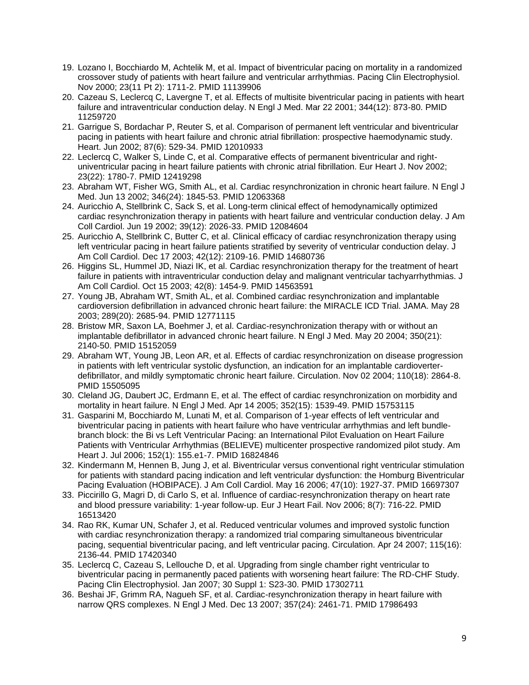- 19. Lozano I, Bocchiardo M, Achtelik M, et al. Impact of biventricular pacing on mortality in a randomized crossover study of patients with heart failure and ventricular arrhythmias. Pacing Clin Electrophysiol. Nov 2000; 23(11 Pt 2): 1711-2. PMID 11139906
- 20. Cazeau S, Leclercq C, Lavergne T, et al. Effects of multisite biventricular pacing in patients with heart failure and intraventricular conduction delay. N Engl J Med. Mar 22 2001; 344(12): 873-80. PMID 11259720
- 21. Garrigue S, Bordachar P, Reuter S, et al. Comparison of permanent left ventricular and biventricular pacing in patients with heart failure and chronic atrial fibrillation: prospective haemodynamic study. Heart. Jun 2002; 87(6): 529-34. PMID 12010933
- 22. Leclercq C, Walker S, Linde C, et al. Comparative effects of permanent biventricular and rightuniventricular pacing in heart failure patients with chronic atrial fibrillation. Eur Heart J. Nov 2002; 23(22): 1780-7. PMID 12419298
- 23. Abraham WT, Fisher WG, Smith AL, et al. Cardiac resynchronization in chronic heart failure. N Engl J Med. Jun 13 2002; 346(24): 1845-53. PMID 12063368
- 24. Auricchio A, Stellbrink C, Sack S, et al. Long-term clinical effect of hemodynamically optimized cardiac resynchronization therapy in patients with heart failure and ventricular conduction delay. J Am Coll Cardiol. Jun 19 2002; 39(12): 2026-33. PMID 12084604
- 25. Auricchio A, Stellbrink C, Butter C, et al. Clinical efficacy of cardiac resynchronization therapy using left ventricular pacing in heart failure patients stratified by severity of ventricular conduction delay. J Am Coll Cardiol. Dec 17 2003; 42(12): 2109-16. PMID 14680736
- 26. Higgins SL, Hummel JD, Niazi IK, et al. Cardiac resynchronization therapy for the treatment of heart failure in patients with intraventricular conduction delay and malignant ventricular tachyarrhythmias. J Am Coll Cardiol. Oct 15 2003; 42(8): 1454-9. PMID 14563591
- 27. Young JB, Abraham WT, Smith AL, et al. Combined cardiac resynchronization and implantable cardioversion defibrillation in advanced chronic heart failure: the MIRACLE ICD Trial. JAMA. May 28 2003; 289(20): 2685-94. PMID 12771115
- 28. Bristow MR, Saxon LA, Boehmer J, et al. Cardiac-resynchronization therapy with or without an implantable defibrillator in advanced chronic heart failure. N Engl J Med. May 20 2004; 350(21): 2140-50. PMID 15152059
- 29. Abraham WT, Young JB, Leon AR, et al. Effects of cardiac resynchronization on disease progression in patients with left ventricular systolic dysfunction, an indication for an implantable cardioverterdefibrillator, and mildly symptomatic chronic heart failure. Circulation. Nov 02 2004; 110(18): 2864-8. PMID 15505095
- 30. Cleland JG, Daubert JC, Erdmann E, et al. The effect of cardiac resynchronization on morbidity and mortality in heart failure. N Engl J Med. Apr 14 2005; 352(15): 1539-49. PMID 15753115
- 31. Gasparini M, Bocchiardo M, Lunati M, et al. Comparison of 1-year effects of left ventricular and biventricular pacing in patients with heart failure who have ventricular arrhythmias and left bundlebranch block: the Bi vs Left Ventricular Pacing: an International Pilot Evaluation on Heart Failure Patients with Ventricular Arrhythmias (BELIEVE) multicenter prospective randomized pilot study. Am Heart J. Jul 2006; 152(1): 155.e1-7. PMID 16824846
- 32. Kindermann M, Hennen B, Jung J, et al. Biventricular versus conventional right ventricular stimulation for patients with standard pacing indication and left ventricular dysfunction: the Homburg Biventricular Pacing Evaluation (HOBIPACE). J Am Coll Cardiol. May 16 2006; 47(10): 1927-37. PMID 16697307
- 33. Piccirillo G, Magri D, di Carlo S, et al. Influence of cardiac-resynchronization therapy on heart rate and blood pressure variability: 1-year follow-up. Eur J Heart Fail. Nov 2006; 8(7): 716-22. PMID 16513420
- 34. Rao RK, Kumar UN, Schafer J, et al. Reduced ventricular volumes and improved systolic function with cardiac resynchronization therapy: a randomized trial comparing simultaneous biventricular pacing, sequential biventricular pacing, and left ventricular pacing. Circulation. Apr 24 2007; 115(16): 2136-44. PMID 17420340
- 35. Leclercq C, Cazeau S, Lellouche D, et al. Upgrading from single chamber right ventricular to biventricular pacing in permanently paced patients with worsening heart failure: The RD-CHF Study. Pacing Clin Electrophysiol. Jan 2007; 30 Suppl 1: S23-30. PMID 17302711
- 36. Beshai JF, Grimm RA, Nagueh SF, et al. Cardiac-resynchronization therapy in heart failure with narrow QRS complexes. N Engl J Med. Dec 13 2007; 357(24): 2461-71. PMID 17986493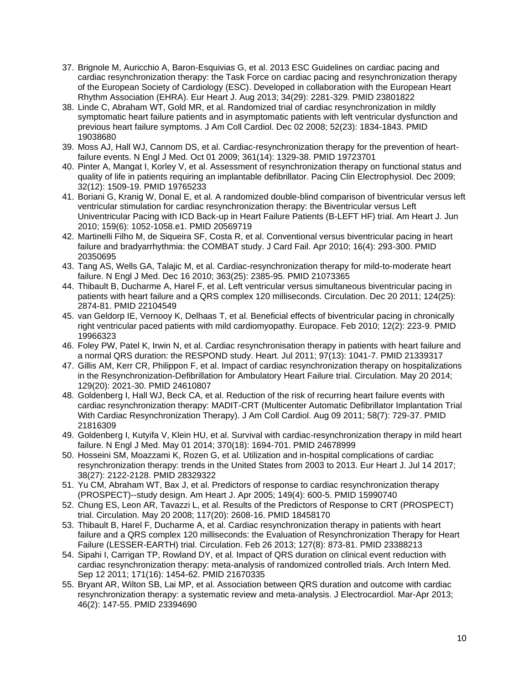- 37. Brignole M, Auricchio A, Baron-Esquivias G, et al. 2013 ESC Guidelines on cardiac pacing and cardiac resynchronization therapy: the Task Force on cardiac pacing and resynchronization therapy of the European Society of Cardiology (ESC). Developed in collaboration with the European Heart Rhythm Association (EHRA). Eur Heart J. Aug 2013; 34(29): 2281-329. PMID 23801822
- 38. Linde C, Abraham WT, Gold MR, et al. Randomized trial of cardiac resynchronization in mildly symptomatic heart failure patients and in asymptomatic patients with left ventricular dysfunction and previous heart failure symptoms. J Am Coll Cardiol. Dec 02 2008; 52(23): 1834-1843. PMID 19038680
- 39. Moss AJ, Hall WJ, Cannom DS, et al. Cardiac-resynchronization therapy for the prevention of heartfailure events. N Engl J Med. Oct 01 2009; 361(14): 1329-38. PMID 19723701
- 40. Pinter A, Mangat I, Korley V, et al. Assessment of resynchronization therapy on functional status and quality of life in patients requiring an implantable defibrillator. Pacing Clin Electrophysiol. Dec 2009; 32(12): 1509-19. PMID 19765233
- 41. Boriani G, Kranig W, Donal E, et al. A randomized double-blind comparison of biventricular versus left ventricular stimulation for cardiac resynchronization therapy: the Biventricular versus Left Univentricular Pacing with ICD Back-up in Heart Failure Patients (B-LEFT HF) trial. Am Heart J. Jun 2010; 159(6): 1052-1058.e1. PMID 20569719
- 42. Martinelli Filho M, de Siqueira SF, Costa R, et al. Conventional versus biventricular pacing in heart failure and bradyarrhythmia: the COMBAT study. J Card Fail. Apr 2010; 16(4): 293-300. PMID 20350695
- 43. Tang AS, Wells GA, Talajic M, et al. Cardiac-resynchronization therapy for mild-to-moderate heart failure. N Engl J Med. Dec 16 2010; 363(25): 2385-95. PMID 21073365
- 44. Thibault B, Ducharme A, Harel F, et al. Left ventricular versus simultaneous biventricular pacing in patients with heart failure and a QRS complex 120 milliseconds. Circulation. Dec 20 2011; 124(25): 2874-81. PMID 22104549
- 45. van Geldorp IE, Vernooy K, Delhaas T, et al. Beneficial effects of biventricular pacing in chronically right ventricular paced patients with mild cardiomyopathy. Europace. Feb 2010; 12(2): 223-9. PMID 19966323
- 46. Foley PW, Patel K, Irwin N, et al. Cardiac resynchronisation therapy in patients with heart failure and a normal QRS duration: the RESPOND study. Heart. Jul 2011; 97(13): 1041-7. PMID 21339317
- 47. Gillis AM, Kerr CR, Philippon F, et al. Impact of cardiac resynchronization therapy on hospitalizations in the Resynchronization-Defibrillation for Ambulatory Heart Failure trial. Circulation. May 20 2014; 129(20): 2021-30. PMID 24610807
- 48. Goldenberg I, Hall WJ, Beck CA, et al. Reduction of the risk of recurring heart failure events with cardiac resynchronization therapy: MADIT-CRT (Multicenter Automatic Defibrillator Implantation Trial With Cardiac Resynchronization Therapy). J Am Coll Cardiol. Aug 09 2011; 58(7): 729-37. PMID 21816309
- 49. Goldenberg I, Kutyifa V, Klein HU, et al. Survival with cardiac-resynchronization therapy in mild heart failure. N Engl J Med. May 01 2014; 370(18): 1694-701. PMID 24678999
- 50. Hosseini SM, Moazzami K, Rozen G, et al. Utilization and in-hospital complications of cardiac resynchronization therapy: trends in the United States from 2003 to 2013. Eur Heart J. Jul 14 2017; 38(27): 2122-2128. PMID 28329322
- 51. Yu CM, Abraham WT, Bax J, et al. Predictors of response to cardiac resynchronization therapy (PROSPECT)--study design. Am Heart J. Apr 2005; 149(4): 600-5. PMID 15990740
- 52. Chung ES, Leon AR, Tavazzi L, et al. Results of the Predictors of Response to CRT (PROSPECT) trial. Circulation. May 20 2008; 117(20): 2608-16. PMID 18458170
- 53. Thibault B, Harel F, Ducharme A, et al. Cardiac resynchronization therapy in patients with heart failure and a QRS complex 120 milliseconds: the Evaluation of Resynchronization Therapy for Heart Failure (LESSER-EARTH) trial. Circulation. Feb 26 2013; 127(8): 873-81. PMID 23388213
- 54. Sipahi I, Carrigan TP, Rowland DY, et al. Impact of QRS duration on clinical event reduction with cardiac resynchronization therapy: meta-analysis of randomized controlled trials. Arch Intern Med. Sep 12 2011; 171(16): 1454-62. PMID 21670335
- 55. Bryant AR, Wilton SB, Lai MP, et al. Association between QRS duration and outcome with cardiac resynchronization therapy: a systematic review and meta-analysis. J Electrocardiol. Mar-Apr 2013; 46(2): 147-55. PMID 23394690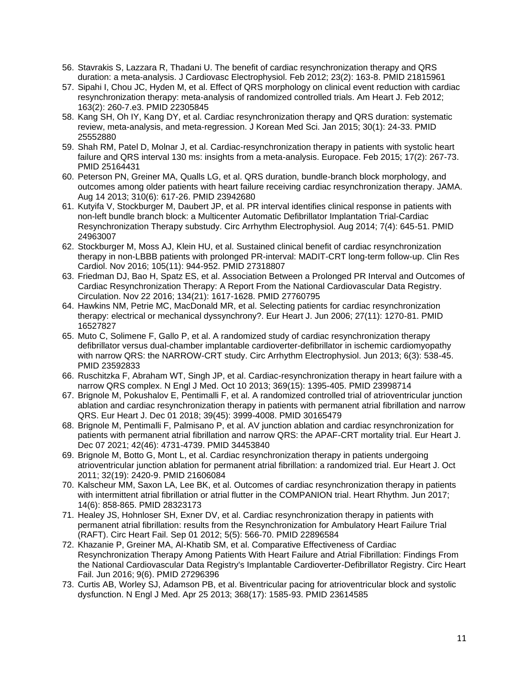- 56. Stavrakis S, Lazzara R, Thadani U. The benefit of cardiac resynchronization therapy and QRS duration: a meta-analysis. J Cardiovasc Electrophysiol. Feb 2012; 23(2): 163-8. PMID 21815961
- 57. Sipahi I, Chou JC, Hyden M, et al. Effect of QRS morphology on clinical event reduction with cardiac resynchronization therapy: meta-analysis of randomized controlled trials. Am Heart J. Feb 2012; 163(2): 260-7.e3. PMID 22305845
- 58. Kang SH, Oh IY, Kang DY, et al. Cardiac resynchronization therapy and QRS duration: systematic review, meta-analysis, and meta-regression. J Korean Med Sci. Jan 2015; 30(1): 24-33. PMID 25552880
- 59. Shah RM, Patel D, Molnar J, et al. Cardiac-resynchronization therapy in patients with systolic heart failure and QRS interval 130 ms: insights from a meta-analysis. Europace. Feb 2015; 17(2): 267-73. PMID 25164431
- 60. Peterson PN, Greiner MA, Qualls LG, et al. QRS duration, bundle-branch block morphology, and outcomes among older patients with heart failure receiving cardiac resynchronization therapy. JAMA. Aug 14 2013; 310(6): 617-26. PMID 23942680
- 61. Kutyifa V, Stockburger M, Daubert JP, et al. PR interval identifies clinical response in patients with non-left bundle branch block: a Multicenter Automatic Defibrillator Implantation Trial-Cardiac Resynchronization Therapy substudy. Circ Arrhythm Electrophysiol. Aug 2014; 7(4): 645-51. PMID 24963007
- 62. Stockburger M, Moss AJ, Klein HU, et al. Sustained clinical benefit of cardiac resynchronization therapy in non-LBBB patients with prolonged PR-interval: MADIT-CRT long-term follow-up. Clin Res Cardiol. Nov 2016; 105(11): 944-952. PMID 27318807
- 63. Friedman DJ, Bao H, Spatz ES, et al. Association Between a Prolonged PR Interval and Outcomes of Cardiac Resynchronization Therapy: A Report From the National Cardiovascular Data Registry. Circulation. Nov 22 2016; 134(21): 1617-1628. PMID 27760795
- 64. Hawkins NM, Petrie MC, MacDonald MR, et al. Selecting patients for cardiac resynchronization therapy: electrical or mechanical dyssynchrony?. Eur Heart J. Jun 2006; 27(11): 1270-81. PMID 16527827
- 65. Muto C, Solimene F, Gallo P, et al. A randomized study of cardiac resynchronization therapy defibrillator versus dual-chamber implantable cardioverter-defibrillator in ischemic cardiomyopathy with narrow QRS: the NARROW-CRT study. Circ Arrhythm Electrophysiol. Jun 2013; 6(3): 538-45. PMID 23592833
- 66. Ruschitzka F, Abraham WT, Singh JP, et al. Cardiac-resynchronization therapy in heart failure with a narrow QRS complex. N Engl J Med. Oct 10 2013; 369(15): 1395-405. PMID 23998714
- 67. Brignole M, Pokushalov E, Pentimalli F, et al. A randomized controlled trial of atrioventricular junction ablation and cardiac resynchronization therapy in patients with permanent atrial fibrillation and narrow QRS. Eur Heart J. Dec 01 2018; 39(45): 3999-4008. PMID 30165479
- 68. Brignole M, Pentimalli F, Palmisano P, et al. AV junction ablation and cardiac resynchronization for patients with permanent atrial fibrillation and narrow QRS: the APAF-CRT mortality trial. Eur Heart J. Dec 07 2021; 42(46): 4731-4739. PMID 34453840
- 69. Brignole M, Botto G, Mont L, et al. Cardiac resynchronization therapy in patients undergoing atrioventricular junction ablation for permanent atrial fibrillation: a randomized trial. Eur Heart J. Oct 2011; 32(19): 2420-9. PMID 21606084
- 70. Kalscheur MM, Saxon LA, Lee BK, et al. Outcomes of cardiac resynchronization therapy in patients with intermittent atrial fibrillation or atrial flutter in the COMPANION trial. Heart Rhythm. Jun 2017; 14(6): 858-865. PMID 28323173
- 71. Healey JS, Hohnloser SH, Exner DV, et al. Cardiac resynchronization therapy in patients with permanent atrial fibrillation: results from the Resynchronization for Ambulatory Heart Failure Trial (RAFT). Circ Heart Fail. Sep 01 2012; 5(5): 566-70. PMID 22896584
- 72. Khazanie P, Greiner MA, Al-Khatib SM, et al. Comparative Effectiveness of Cardiac Resynchronization Therapy Among Patients With Heart Failure and Atrial Fibrillation: Findings From the National Cardiovascular Data Registry's Implantable Cardioverter-Defibrillator Registry. Circ Heart Fail. Jun 2016; 9(6). PMID 27296396
- 73. Curtis AB, Worley SJ, Adamson PB, et al. Biventricular pacing for atrioventricular block and systolic dysfunction. N Engl J Med. Apr 25 2013; 368(17): 1585-93. PMID 23614585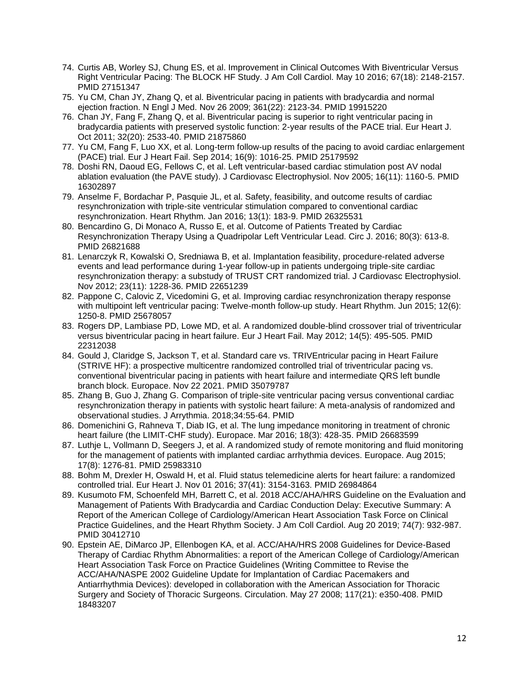- 74. Curtis AB, Worley SJ, Chung ES, et al. Improvement in Clinical Outcomes With Biventricular Versus Right Ventricular Pacing: The BLOCK HF Study. J Am Coll Cardiol. May 10 2016; 67(18): 2148-2157. PMID 27151347
- 75. Yu CM, Chan JY, Zhang Q, et al. Biventricular pacing in patients with bradycardia and normal ejection fraction. N Engl J Med. Nov 26 2009; 361(22): 2123-34. PMID 19915220
- 76. Chan JY, Fang F, Zhang Q, et al. Biventricular pacing is superior to right ventricular pacing in bradycardia patients with preserved systolic function: 2-year results of the PACE trial. Eur Heart J. Oct 2011; 32(20): 2533-40. PMID 21875860
- 77. Yu CM, Fang F, Luo XX, et al. Long-term follow-up results of the pacing to avoid cardiac enlargement (PACE) trial. Eur J Heart Fail. Sep 2014; 16(9): 1016-25. PMID 25179592
- 78. Doshi RN, Daoud EG, Fellows C, et al. Left ventricular-based cardiac stimulation post AV nodal ablation evaluation (the PAVE study). J Cardiovasc Electrophysiol. Nov 2005; 16(11): 1160-5. PMID 16302897
- 79. Anselme F, Bordachar P, Pasquie JL, et al. Safety, feasibility, and outcome results of cardiac resynchronization with triple-site ventricular stimulation compared to conventional cardiac resynchronization. Heart Rhythm. Jan 2016; 13(1): 183-9. PMID 26325531
- 80. Bencardino G, Di Monaco A, Russo E, et al. Outcome of Patients Treated by Cardiac Resynchronization Therapy Using a Quadripolar Left Ventricular Lead. Circ J. 2016; 80(3): 613-8. PMID 26821688
- 81. Lenarczyk R, Kowalski O, Sredniawa B, et al. Implantation feasibility, procedure-related adverse events and lead performance during 1-year follow-up in patients undergoing triple-site cardiac resynchronization therapy: a substudy of TRUST CRT randomized trial. J Cardiovasc Electrophysiol. Nov 2012; 23(11): 1228-36. PMID 22651239
- 82. Pappone C, Calovic Z, Vicedomini G, et al. Improving cardiac resynchronization therapy response with multipoint left ventricular pacing: Twelve-month follow-up study. Heart Rhythm. Jun 2015; 12(6): 1250-8. PMID 25678057
- 83. Rogers DP, Lambiase PD, Lowe MD, et al. A randomized double-blind crossover trial of triventricular versus biventricular pacing in heart failure. Eur J Heart Fail. May 2012; 14(5): 495-505. PMID 22312038
- 84. Gould J, Claridge S, Jackson T, et al. Standard care vs. TRIVEntricular pacing in Heart Failure (STRIVE HF): a prospective multicentre randomized controlled trial of triventricular pacing vs. conventional biventricular pacing in patients with heart failure and intermediate QRS left bundle branch block. Europace. Nov 22 2021. PMID 35079787
- 85. Zhang B, Guo J, Zhang G. Comparison of triple-site ventricular pacing versus conventional cardiac resynchronization therapy in patients with systolic heart failure: A meta-analysis of randomized and observational studies. J Arrythmia. 2018;34:55-64. PMID
- 86. Domenichini G, Rahneva T, Diab IG, et al. The lung impedance monitoring in treatment of chronic heart failure (the LIMIT-CHF study). Europace. Mar 2016; 18(3): 428-35. PMID 26683599
- 87. Luthje L, Vollmann D, Seegers J, et al. A randomized study of remote monitoring and fluid monitoring for the management of patients with implanted cardiac arrhythmia devices. Europace. Aug 2015; 17(8): 1276-81. PMID 25983310
- 88. Bohm M, Drexler H, Oswald H, et al. Fluid status telemedicine alerts for heart failure: a randomized controlled trial. Eur Heart J. Nov 01 2016; 37(41): 3154-3163. PMID 26984864
- 89. Kusumoto FM, Schoenfeld MH, Barrett C, et al. 2018 ACC/AHA/HRS Guideline on the Evaluation and Management of Patients With Bradycardia and Cardiac Conduction Delay: Executive Summary: A Report of the American College of Cardiology/American Heart Association Task Force on Clinical Practice Guidelines, and the Heart Rhythm Society. J Am Coll Cardiol. Aug 20 2019; 74(7): 932-987. PMID 30412710
- 90. Epstein AE, DiMarco JP, Ellenbogen KA, et al. ACC/AHA/HRS 2008 Guidelines for Device-Based Therapy of Cardiac Rhythm Abnormalities: a report of the American College of Cardiology/American Heart Association Task Force on Practice Guidelines (Writing Committee to Revise the ACC/AHA/NASPE 2002 Guideline Update for Implantation of Cardiac Pacemakers and Antiarrhythmia Devices): developed in collaboration with the American Association for Thoracic Surgery and Society of Thoracic Surgeons. Circulation. May 27 2008; 117(21): e350-408. PMID 18483207